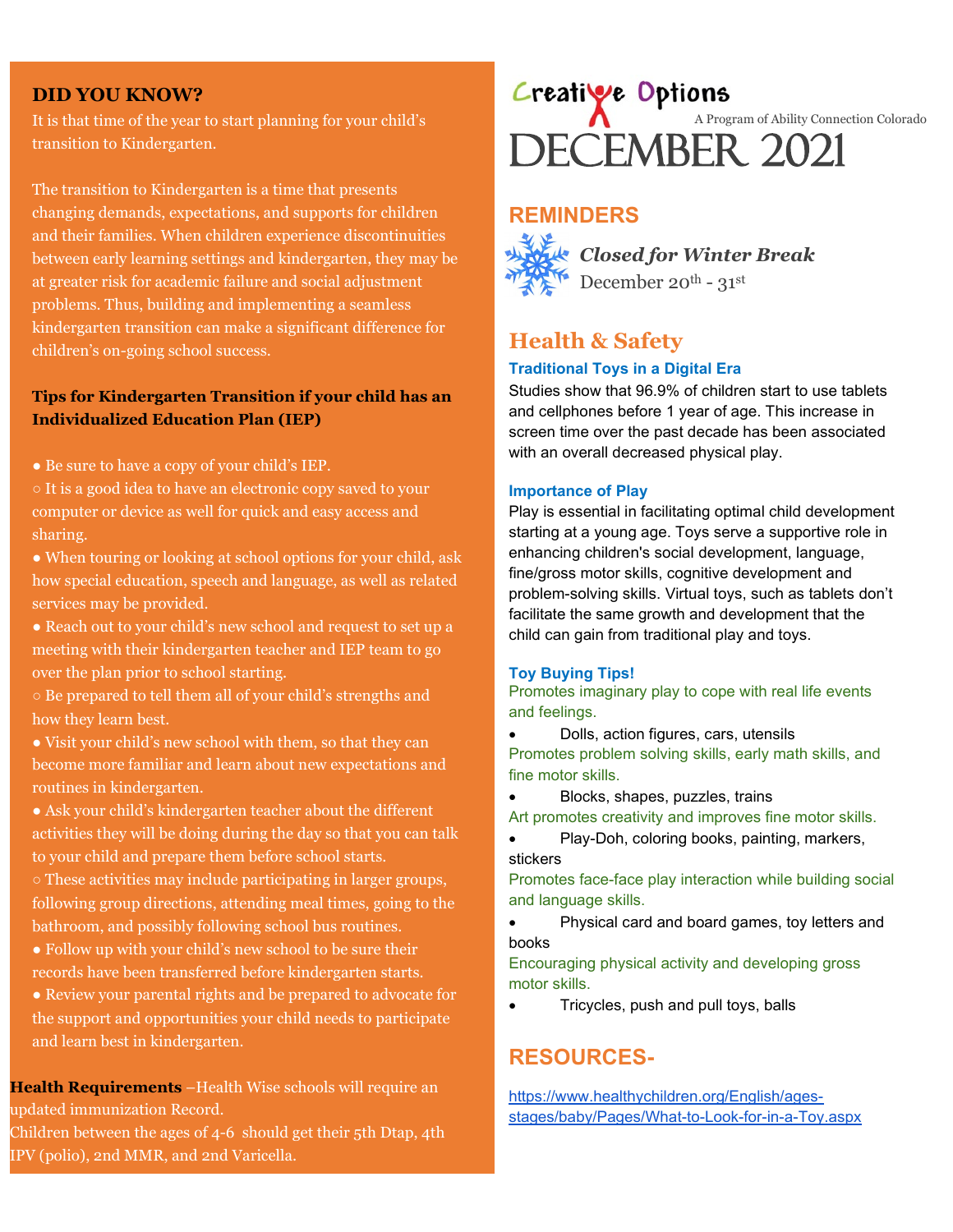#### **DID YOU KNOW?**

It is that time of the year to start planning for your child's transition to Kindergarten.

The transition to Kindergarten is a time that presents changing demands, expectations, and supports for children and their families. When children experience discontinuities between early learning settings and kindergarten, they may be at greater risk for academic failure and social adjustment problems. Thus, building and implementing a seamless kindergarten transition can make a significant difference for children's on-going school success.

#### **Tips for Kindergarten Transition if your child has an Individualized Education Plan (IEP)**

- Be sure to have a copy of your child's IEP.
- It is a good idea to have an electronic copy saved to your computer or device as well for quick and easy access and sharing.
- When touring or looking at school options for your child, ask how special education, speech and language, as well as related services may be provided.
- Reach out to your child's new school and request to set up a meeting with their kindergarten teacher and IEP team to go over the plan prior to school starting.
- Be prepared to tell them all of your child's strengths and how they learn best.
- Visit your child's new school with them, so that they can become more familiar and learn about new expectations and routines in kindergarten.
- Ask your child's kindergarten teacher about the different activities they will be doing during the day so that you can talk to your child and prepare them before school starts.
- These activities may include participating in larger groups, following group directions, attending meal times, going to the bathroom, and possibly following school bus routines.
- Follow up with your child's new school to be sure their records have been transferred before kindergarten starts.
- Review your parental rights and be prepared to advocate for the support and opportunities your child needs to participate and learn best in kindergarten.

**Health Requirements** –Health Wise schools will require an updated immunization Record.

Children between the ages of 4-6 should get their 5th Dtap, 4th IPV (polio), 2nd MMR, and 2nd Varicella.

# Creative Options<br>DECEMBER 2021 A Program of Ability Connection Colorado

## **REMINDERS**



*Closed for Winter Break*  December 20<sup>th</sup> -  $31^{st}$ 

## **Health & Safety**

#### **Traditional Toys in a Digital Era**

Studies show that 96.9% of children start to use tablets and cellphones before 1 year of age. This increase in screen time over the past decade has been associated with an overall decreased physical play.

#### **Importance of Play**

Play is essential in facilitating optimal child development starting at a young age. Toys serve a supportive role in enhancing children's social development, language, fine/gross motor skills, cognitive development and problem-solving skills. Virtual toys, such as tablets don't facilitate the same growth and development that the child can gain from traditional play and toys.

#### **Toy Buying Tips!**

Promotes imaginary play to cope with real life events and feelings.

- Dolls, action figures, cars, utensils Promotes problem solving skills, early math skills, and fine motor skills.
- Blocks, shapes, puzzles, trains
- Art promotes creativity and improves fine motor skills.
- Play-Doh, coloring books, painting, markers, stickers

Promotes face-face play interaction while building social and language skills.

• Physical card and board games, toy letters and books

Encouraging physical activity and developing gross motor skills.

• Tricycles, push and pull toys, balls

## **RESOURCES-**

[https://www.healthychildren.org/English/ages](https://www.healthychildren.org/English/ages-stages/baby/Pages/What-to-Look-for-in-a-Toy.aspx)[stages/baby/Pages/What-to-Look-for-in-a-Toy.aspx](https://www.healthychildren.org/English/ages-stages/baby/Pages/What-to-Look-for-in-a-Toy.aspx)